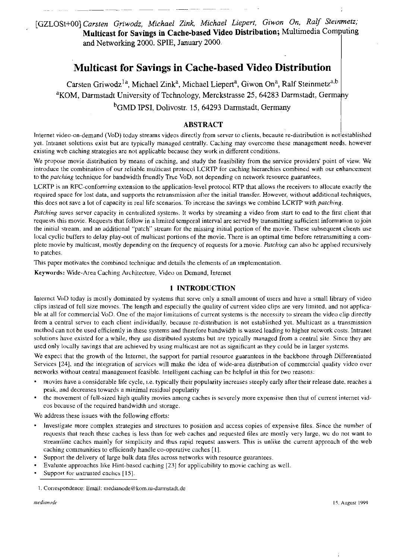[GZLOSt+OO] *Carsten Griwodz, Michael Zink, Michael Liepert, Giwon On, Ralf Steinmetz;*  **Multicast for Savings in Cache-based Video Distribution;** Multimedia Computing and Networking 2000. SPIE, January 2000.

# **Multicast for Savings in Cache-based Video Distribution**

Carsten Griwodz<sup>1a</sup>, Michael Zink<sup>a</sup>, Michael Liepert<sup>a</sup>, Giwon On<sup>a</sup>, Ralf Steinmetz<sup>a,b</sup> <sup>a</sup>KOM, Darmstadt University of Technology, Merckstrasse 25, 64283 Darmstadt, Germany <sup>b</sup>GMD IPSI, Dolivostr. 15, 64293 Darmstadt, Germany ISBN 1951, Dolivostr. 15, 64293 Darmstadt, Germany

## **ABSTRACT**

lnternet video-on-demand (VoD) today streams videos directly from server to clients, because re-distribution 1s notlestablished yet. Intianet solutions exist but are typically managed centrally. Caching may overcome ihese management needs. however existing web caching strategies are not applicable because they work in different conditions.

We propose movie distribution by means of caching, and study the feasibility from the service providers' point of view. We introduce the combination of our reliable multicast proiocol LCRTP for caching hierarchies combined with our enhancement to the *patching* technique for bandwidth friendly True VoD, not depending on network resource guarantees.

LCRTP is an RFC-conforming extension to the application-level protocol RTP that allows the receivers to allocate exactly the required space for lost data, and supports ihe retiansmission after the initial transfer. However, without additional techniques, this does not save a lot of capacity in real life scenarios. To increase the savings we combine LCRTP with patching.

Patching saves server capacity in centralized systems. It works by streaming a video from start to end to the first client that requests this movie. Requests that follow in a limited temporal interval are served by transmitting sufficient information to join the initial stream, and an additional "patch" stream for the missing initial portion of the movie. These subsequent clients use local cyclic buffers to delay play-out of multicast portions of the movie. There is an optimal time before retransmitting a complete movie by multicast, mostly depending on the frequency of requests for a movie. Patching can also be applied recursively to patches.

This paper motivates the combined techniquc and details the elements of an implementation.

**Keywards:** Wide-Area Caching Aichitecture, Video on Demand, Internet

## **1 INTRODUCTION**

Internet VoD today is mostly dominated by systems that serve only a small amount of users and have a small library of video clips instead of full size movies. The length and especially the quality of current video clips are very limited. and not applicable at all for commercial VoD. One of the major limitations of current systems is the necessity to stream the video clip directly from a central servei to each client individually, because re-distribution is not esiablished yet. Multicast as a transmission mcthod can not be used efficiently in these systems and therefore bandwidtb is wasted leading to higher network costs. Intranet solutions have existed for a while, they use distribuied systems but are typically mnnaged from a central site. Since they are used only locally savings that are achieved by using multicast are not as significant as they could be in larger systems.

We expect that the growth of the Internet, the support for partial resource guarantees in the backbone through Differentiated Services **1241,** and the integiation of services will make the idea of wide-wea distribution of commercial quality video over networks without central management feasible. Intelligent caching can be helpful in this for two reasons:

- movies have a considerable life cycle, 1.e. typically their popularity increasss steeply earIy after their release date, reaches a peak, and decreases towwds a minimal residual popularity
- the movement of full-sized high quality movies among caches is severely more expensive then that of current internet videos because of the required bandwidth and storage.

We address these issues with the following efforts:

- lnvestigate more complex strategies and siructuies to position and access copies of expensive files. Since the number of requests that reach these caches is less than for web caches and requested files are mostly very large, we do not want to streamline caches mainly for simplicity and thus rapid request answers. This is unlike the current approach of the web caching communities to eficiently handle CO-operative caches **[I].**
- Support the delivery of large bulk data files across networks with resource guarantees.
- Evaluate approaches like Hinl-based caching **1231** for applicability to movie caching as well.
- Support for untrusted cachcs **[15].**

<sup>1.</sup> Coriespondence: Email: **medianode@kom.ru-damistildt.de**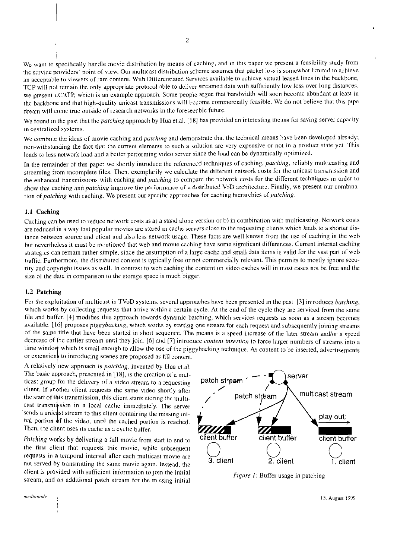We want to specifically handle movie distribution by means of caching, and in this paper we present a feasibility study from the service providers' point of view. Our multicast distribution scheme assumes that packet loss is somewhat limited to achieve an acceprable to viewers of rare content. With Differcntiated Services available to achieve virtual leased lincs in thc backbone. TCP will not remain the only appropriate protocol able to deliver strcamed data with sufficiently low loss over long distances. we present LCRTP, which is an example approach. Some people argue that bandwidth will soon becomc abundant at least in thc backbone and thai high-quality unicast transmissions will hccome commercially feasible. We do not believe that this pipc dream will come true outside of rescarch networks in the foreseeable future.

We found in the past that the *patching* approach by Hua et.al. [18] has provided an interesting means for saving server capacity in centralizcd systems.

We combine the ideas of movie caching and *patching* and demonstrate that the technical means have been developed already; non-withstanding the fact that the curreni elements to such a solution are very expensive or not in a product state yei. This leads to less network load and a better performing video server since the load can be dynamically optimized.

In the remainder of this paper we shortly introduce the referenccd techniques of caching, patching, reliably multicasting and streaming from incomplete files. Then, excmplarily we calculate the different network costs for the unicast transmission and the enhanced transmissions with caching and *patching* to compare the network costs for the different techniques in order to show that caching and *patching* improve the performance of a distributed VoD architecture. Finally, we present our combination of patching with caching. We present our specific approaches for caching hierarchies of patching.

#### **1.1 Caching**

Caching can be used 10 reduce network costs as a) a stand alone version or b) in combination with multicasting. Nctwork cosls are reduced in a way that popular movies are stored in cache servers close to the requesting clients which leads to a shorter distance between source and client and also less network usage. These facts are well known from the use of caching in the web hut nevertheless it must be mcntioncd that web and movie caching have some significant diffcrences. Current internet caching strategies can remain rather simple, since the assumption of a large cache and small data items is valid for the vast part of web traffic. Furthermore, the distributed content is typically free or not commercially relevant. This permits to mostly ignore security and copyright issues as well. In contrast to weh caching the content on video caches will in most cases not be free and the size of the data in comparison to the storage space is much bigger.

#### **1.2 Patching**

For the exploitation of multicast in TVoD systems, several approaches have been presented in the past. [3] introduces *batching*, which works by collecting requests that arrive within a certain cycle. At the end of the cycle they are serviced from the same file and buffer. [4] modifies this approach towards dynamic batching, which services requests as soon as a stream becomes available. [16] proposes *piggybacking*, which works by starting one stream for each request and subsequently joining streams of the same title that have been started in short sequence. The means is a speed increase of the later stream and/or a speed decrease of the earlier stream until they join. [6] and [7] introduce content insertion to force larger numbers of streams into a tiine window which is small enough to allow the use of the piggybacking technique. As content to be inserted, advertisements or extensions to introducing scenes are proposed as fill content.

A relatively new approach is *patching*, invented by Hua et.al. or extensions to introducing scenes are proposed as fill content.<br>A relatively new approach is *patching*, invented by Hua et.al.<br>The basic approach, presented in [18], is the creation of a mul-<br>ticast group for the deliv ticast group for the delivery of a video stream to a requesting patch stream<br>client. If another client requests the same video shortly after The basic approach, presented in [18], is the creation of a multicast group for the delivery of a video stream to a requesting patch street client. If another client requests the same video shortly after the start of this transmission, this client starts storing the multicast transmission in a local cache immediately. The server sends a unicast stream to this client containing the missing initial portion of the video, until the cached Then, the client uses its cache as a cyclic buffer.

the firsi clieni that requests this movie. while subsequent requests in a temporal interval after each multicast movie are not served by transmitting the same movie again. Instead, the client is provided with sufficient information to join the initial stream, and an additional patch stream for the missing initial Figure I: Buffer usage in patching stream, and an additional patch stream for the missing initial



medianode

15. August 1999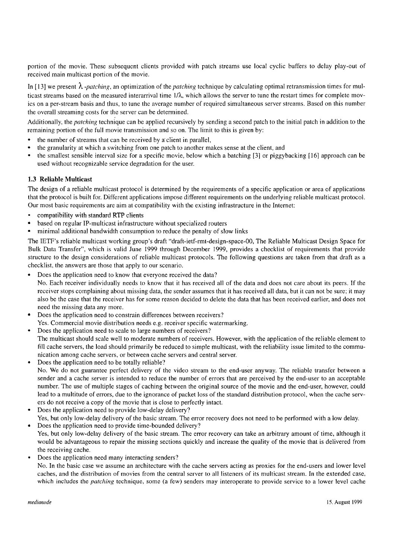portion of the movie. These subsequent clients provided with patch streams use local cyclic buffers to delay play-out of received main multicast portion of the movie.

In [13] we present  $\lambda$ -*patching*, an optimization of the *patching* technique by calculating optimal retransmission times for multicast streams based on the measured interarrival time  $1/\lambda$ , which allows the server to tune the restart times for complete movics on a per-stream basis and thus, to tune the average number of required simultaneous server streams. Based on this number the overall streaming costs for the server can be determined.

Additionally, the *patching* technique can be applied recursively by sending a second patch to the initial patch in addition to the remaining portion of the full movie transmission and so on. The limit to this is given by:

- the number of streams that can be received by a'client in parallel,  $\bullet$
- the granularity at which a switching from one patch to another makes sense at the client, and
- the smallest sensible interval size for a specific movie, below which a batching [3] or piggybacking [16] approach can be used without recognizable service degradation for the user.

## **1.3 Reliable Multicast**

The design of a reliable multicast protocol is determined by the requirements of a specific application or area of applications that the protocol is built for. Different applications impose different requirements on the underlying reliable multicast protocol. Our most basic requirements are aim at compatibility with the existing infrastructure in the Internet:

- compatibility with standard RTP clients
- based on regular IP-multicast infrastructure without specialized routers
- minimal additional bandwidth consumption to reduce the penalty of slow links

The IETF's reliable multicast working group's draft "draft-ietf-rmt-design-space-00, The Reliable Multicast Design Space for Bulk Data Transfer", which is valid June 1999 through December 1999, provides a checklist of requirements that provide structure to the design considerations of reliablc multicast protocols. The following questions are taken from that draft as a checklist, the answers are those that apply to our scenario.

Does the application need to know that everyone received the data'?

No. Each receiver individually needs to know that it has received all of the data and does not care about its peers. If the receiver stops complaining about missing data, the sender assumes that it has received all data, but it can not be sure; it may also be the case that the receiver has for some reason decided to delete the data that has been received earlier, and does not need the missing data any more.

- Does the application need to constrain differences between receivers?
- Yes. Commercial movie distribution needs e.g. receiver specific watermarking.
- Does the application need to scale to large numbers of receivers? The multicast should scale well to moderate numbers of receivers. However, with the application of the reliable element to fill cache servers, the load should primarily be reduced to simple multicast, with the reliability issue limited to the communication among cache servers, or between cache servers and central server.
- Does the application need to be totally reliable? No. We do not guarantee perfect delivery of the video stream to the end-user anyway. The reliable transfer between a sender and a cache server is intended to reduce the number of errors that are perceived by the end-user to an acceptable number. The use of multiple stages of caching between the original source of the movie and the end-user, however, could lead to a multitude of errors, due to the ignorance of packet loss of the standard distribution protocol, when the cache servers do not receive a copy of the movie that is close to perfectly intact.
- Does the application need to provide low-delay delivery? Yes, but only low-delay delivery of the basic stream. The error recovery does not need to be performed with a low delay.
- Does the application need to provide time-bounded delivery? Yes, but only low-delay delivery of the basic stream. The error recovery can take an arbitrary amount of time, although it would be advantageous to repair the missing sections quickly and increase the quality of the movie that is delivered from the receiving cache.
- Does the application need many interacting senders'?
	- No. In the basic case we assume an architecture with the cache servers acting as proxies for the end-users and lower level caches, and the distribution of movies from the central scrver to all listeners of its multicast stream. In the extended case, which includes the *patching* technique, some (a few) senders may interoperate to provide service to a lower level cache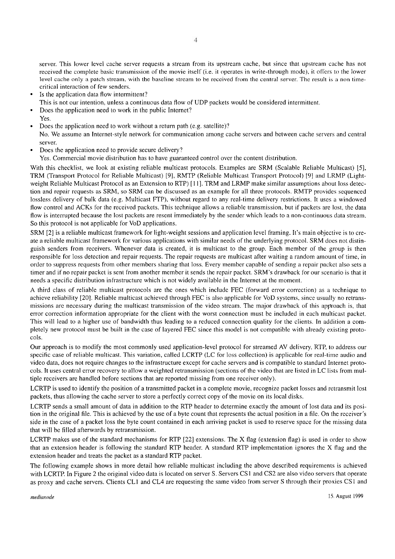server. This lower level cache server requests a stream from its upstream cache, but since that upstream cache has not reccived the complete basic transmission of the movie itself (i.e. it operates in write-through mode), it offers to the lower level cache only a patch stream, with the baseline stream to be reccived from the central server. The result is a non timecritical interaction of few sendcrs.

- 1s the application data flow intermittent?
- This is not our intention, unless a continuous data flow of UDP packets would be considered intermittent.
- Does the application need to work in the public Internet?
- Yes.
- Does the application need to work without a return path (e.g. satellite)?
- No. We assume an Internet-style network for communication among cache servers and between cache servers and central server.
- Does the application need to provide secure delivery?
- Yes. Commercial movie distribution has to have guaranteed control over the content distribution.

With this checklist, we look at existing reliable multicast protocols. Examples are SRM (Scalable Reliable Multicast) [5], TRM (Transport Protocol for Reliable Multicast) [9], RMTP (Reliable Multicast Transport Protocol) [9] and LRMP (Lightweight Reliable Multicast Protocol as an Extension to RTP) [11]. TRM and LRMP make similar assumptions about loss detection and repair requests as SRM, so SRM can be discussed as an example for all threc protocols. RMTP provides sequenced lossless delivery of bulk data (e.g. Multicast FTP), without regard to any real-time delivery restrictions. It uses a windowed flow control and ACKs for the received packets. This technique allows a reliable transmission, but if packets are lost, the data flow is interrupted because the lost packets are resent immediately by the sender which leads to a non-continuous data stream. So this protocol is not applicable for VoD applications.

SRM [2] is a reliable multicast framework for light-weight sessions and application level framing. It's main objective is to create a reliable multicast framework for various applications with similar needs of the underlying protocol. SRM does not distinguish senders from receivers. Whenever data is created, it is multicast to the group. Each member of the group is then responsible for loss detection and repair requests. The repair requests are multicast after waiting a random amount of time, in order to suppress requests from other membcrs sharing that loss. Every membcr capable of scnding a repair packct also sets a timer and if no repair packet is sent from another member it sends the repair packet. SRM's drawback for our scenario is that it needs a specific distribution infrastructure which is not widely available in the Internet at the moment.

A third class of reliable multicast protocols are thc ones which includc FEC (Forward error corrcction) as a tcchnique to achieve reliability [20]. Reliable multicast achieved through FEC is also applicable for VoD systems, since usually no retransmissions arc necessary during the multicast transmission of the video stream. The major drawback of this approach is, that error correction information appropriate for the client with the worst connection must be included in each multicast packet. This will lead to a higher use of bandwidth thus leading to a reduced connection quality for the clients. In addition a completely new protocol must be built in the case of layered FEC since this rnodcl is not compatiblc with already existing protocols.

Our approach is to modify the most commonly used application-level protocol for streamed AV delivery, RTP, to address our specific case of reliable multicast. This variation, called LCRTP (LC for loss collection) is applicable for real-time audio and vidco data, does not require changes to thc infrastructure exccpt for cache servers and is compatible to standard Internet protocols. It uses central error recovery to allow a weighted retransmission (sections of the video that are listed in LC lists from multiple receivers are handled before sections that are reported missing from one receiver only).

LCRTP is used to identify the position of a transmitted packet in a complete movie, recognize packet losses and retransmit lost packets, thus allowing the cache server to store a perfectly correct copy of the movic on its local disks.

LCRTP sends a small amount of data in addition to the RTP header to determine exactly the amount of lost data and its position in the original file. This is achieved by the use of a byte count that represents the actual position in a file. On the receiver's side in the case of a packet loss the byte count contained in each arriving packet is used to reserve space for the missing data that will be filled afterwards by retransmission.

LCRTP makes use of the standard mechanisms for RTP [22] extensions. The X flag (extension flag) is used in order to show that an extension header is following the standard RTP header. A standard RTP implementation ignores the X flag and the extension header and treats the packet as a standard RTP packet.

The following example shows in more detail how reliable multicast including the above described requirements is achieved with LCRTP. In Figure 2 the original video data is located on server S. Servers CS1 and CS2 are also video servers that operate as proxy and cache servers. Clients CL1 and CL4 are requesting the same video from server S through their proxies CS1 and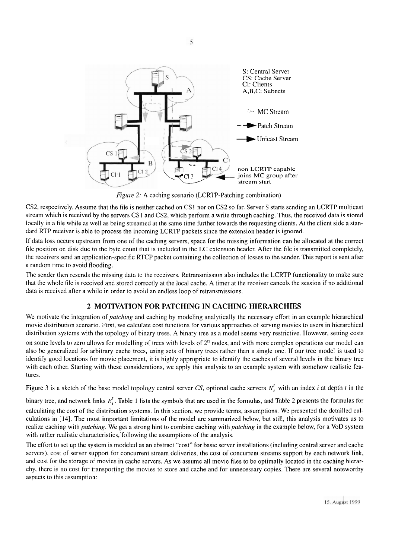

*Figure 2*: A caching scenario (LCRTP-Patching combination)

CS2, respectively. Assume that the file is neither cached on CS I nor on CS2 so far. Server S starts sending an LCRTP multicast strcam which is received by the servers CS1 and CS2, which perform a write through caching. Thus, the received data is stored locally in a file while as well as being streamed at the same time further towards the requesting clients. At the client side a standard RTP receiver is able to process the incoming LCRTP packets since the extension header is ignored.

If data loss occurs upstream from one of the caching servers, space for the missing information can be allocated at the correct file position on disk due to the byte Count that is included in the LC extension header. After the file is transmitted completely, the receivers send an application-specific RTCP packet containing the collection of losses to the sender. This report is sent after a random timc to avoid flooding.

The sender then resends the missing data to the receivers. Retransmission also includes the LCRTP functionality to make sure that the whole file is received and stored correctly at the local cache. A timer at the receiver cancels the session if no additional data is reccivcd after a whilc in order to avoid an endless loop of retransmissions.

# **2 MOTIVATION FOR PATCHING IN CACHING HIERARCHIES**

Wc motivate the integration of *patching* and caching by modeling analytically the necessary effort in an example hierarchical movie distribution scenario. First, we calculate cost functions for various approaches of serving movies to users in hierarchical distribution systems with the topology of binary trees. **A** binary tree as a model seems very restrictive. However, setting costs on some levels to zero allows for modelling of trees with levels of  $2<sup>n</sup>$  nodes, and with more complex operations our model can also be generalized for arbitrary cache trces, using sets of binary trees rather than a single one. If our tree model is used to identify good locations for movie placement, it is highly appropriate to identify the caches of several levels in the binary tree with each other. Starting with these considerations, we apply this analysis to an example system with somehow realistic features.

Figure 3 is a sketch of the base model topology central server CS, optional cache servers  $N_i^t$  with an index *i* at depth *t* in the

binary tree, and network links *E:.* Table **1** lists the symbols that are used in the formulas, and Table 2 presents the formulas for calculating the cost of the distribution systems. In this section, we provide terms, assumptions. We presented the detailled calculations in [14]. The most important limitations of the model are summarized below, but still, this analysis motivates us to realize caching with *patching.* We get a strong hint to cornbinc caching with *patching* in the example below, for a VoD system with rather realistic characteristics, following the assumptions of the analysis.

The effort to set up the system is modeled as an abstract "cost" for basic server installations (including central server and cache servers), cost of server support for concurrent stream deliveries, the cost of concurrent streams support by each network link, and cost for the storage of movies in cache servers. As we assume all movie files to be optimally located in the caching hierarchy, there is no cost for transporting the movies to store and cache and for unnecessary copies. There are several noteworthy aspects to this assumption: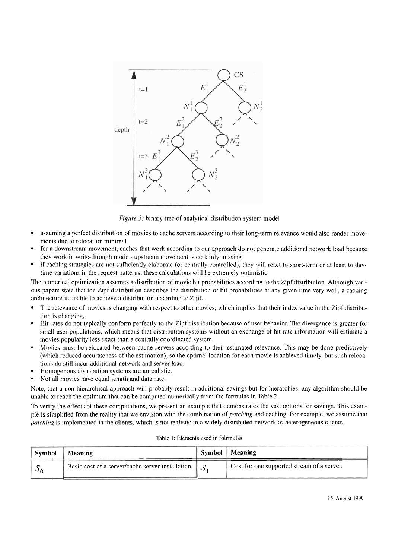

Figure 3: binary tree of analytical distribution system model

- assuming a perfect distribution of movies to cache servers according to their long-term relevance would also render movements due to relocation minimal
- for a downstream movement, caches that work according to our approach do not generate additional network load because they work in write-through mode - upstream movement is certainly missing
- if caching strategies are not sufficiently claborate (or centrally controlled), they will react to short-term or at least to daytime variations in the request patterns, these calculations will be extremely optimistic

The numerical optimization assumes a distribution of movic hit probabilities according to the Zipf distribution. Although vari-011s papers statc that the Zipf distribution describes the clistribiition of hit probabilities at any gjven time very well, a caching architecture is unable to achieve a distribution according to Zipf.

- The relevance of movies is changing with respect to other movies, which implies that their index value in the Zipf distribution is changing,
- Hit rates do not typically conform perfectly to the Zipf distribution because of user behavior. The divergence is greater for small user populations, which means that distribution systems without an exchange of hit rate information will estimate a movies popularity less exact than a centrally coordinated systern.
- Movies must be relocated between cache servers according to their estimated relevance. This may be done predictively (which reduced accurateness of the estimation), so the optimal location for each movie is achieved timely, but such relocations do still incur additional network and server load.
- Homogenous distribution systems are unrealistic.
- Not all movies have equal length and data rate.

Note, that a non-hierarchical approach will probably result in additional savings but for hierarchies, any algorithm should be unable to reach the optimum that can be computed numerically from the formulas in Table 2.

To verify the cffects of these cornputations, we present an exarnple that dernonstrates the vast opiions for savings. This cxarnple is simplified from the reality that we envision with the combination of *patching* and caching. For example, we assume that patching is implemented in the clients, which is not realistic in a widely distributed network of heterogeneous clients.

| Symbol | <b>Meaning</b>                                                  | $\parallel$ Symbol $\parallel$ Meaning     |
|--------|-----------------------------------------------------------------|--------------------------------------------|
|        | Basic cost of a server/cache server installation. $\parallel$ S | Cost for one supported stream of a server. |

Table I: Elements used in folrmulas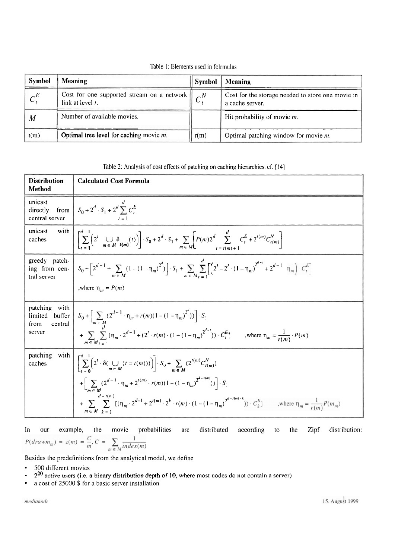Table I: Elements used in folrmulas

| Symbol          | <b>Meaning</b>                                                       | Symbol      | Meaning                                                              |
|-----------------|----------------------------------------------------------------------|-------------|----------------------------------------------------------------------|
| $\mathcal{L}^E$ | Cost for one supported stream on a network   <br>link at level $t$ . | $\bigcap^N$ | Cost for the storage needed to store one movie in<br>a cache server. |
| M               | Number of available movies.                                          |             | Hit probability of movie m.                                          |
| t(m)            | Optimal tree level for caching movie $m$ .                           | r(m)        | Optimal patching window for movie $m$ .                              |

Table 2: Analysis of **cost** effects of patching on caching hierarchies, cf. [I41

| <b>Distribution</b><br>Method                                 | <b>Calculated Cost Formula</b>                                                                                                                                                                                                                                                                                                                                                                                                                                                                          |
|---------------------------------------------------------------|---------------------------------------------------------------------------------------------------------------------------------------------------------------------------------------------------------------------------------------------------------------------------------------------------------------------------------------------------------------------------------------------------------------------------------------------------------------------------------------------------------|
| unicast<br>directly<br>central server                         | from $S_0 + 2^d \cdot S_1 + 2^d \sum_{i=1}^{d} C_i^E$                                                                                                                                                                                                                                                                                                                                                                                                                                                   |
| unicast<br>with 1<br>caches                                   | $\left[ \sum_{i=1}^{a-1} \left( 2^{i} \bigotimes_{m \in M} \delta_{i(m)}(t) \right) \right] \cdot S_0 + 2^{d} \cdot S_1 + \sum_{m \in M} \left[ P(m) 2^{d} \sum_{i=t(m)+1}^{n} C_i^{E} + 2^{t(m)} C_{i(m)}^{N} \right]$                                                                                                                                                                                                                                                                                 |
| greedy patch-<br>tral server                                  | ing from cen-<br>$\left[ S_0 + \left[ 2^{d-1} + \sum_{m \in M} (1 - (1 - \eta_m)^{2^d}) \right] \cdot S_1 + \sum_{m \in M} \sum_{m = 1}^d \left[ \left( 2^t - 2^t \cdot (1 - \eta_m)^{2^{d-1}} + 2^{d-1} \eta_m \right) \cdot C_t^E \right]$<br>,where $\eta_m = P(m)$                                                                                                                                                                                                                                  |
| patching with<br>limited buffer<br>central<br>from.<br>server | $S_0 + \left[ \sum_{m \in M} (2^{d-1} \cdot \eta_m + r(m)(1 - (1 - \eta_m)^{2^d})) \right] \cdot S_1$<br>$+\sum_{r=1}^{n} \sum_{m=1}^{n} [\eta_m \cdot 2^{d-1} + (2^r \cdot r(m) \cdot (1 - (1 - \eta_m))^{2^{d-1}}) \cdot C_t^E]$ where $\eta_m = \frac{1}{r(m)} \cdot P(m)$<br>$m \in M_I = 1$                                                                                                                                                                                                        |
| patching<br>with  <br>caches                                  | $\left[ \sum_{t=0}^{\infty} \left( 2^t \cdot \delta(\bigcup_{m \in M} (t = t(m))) \right) \right] \cdot S_0 + \sum_{m \in M} \left( 2^{t(m)} C_{t(m)}^N \right)$<br>$+ \bigg[ \sum_{m \in M} (2^{d-1} \cdot \eta_m + 2^{t(m)} \cdot r(m) (1 - (1 - \eta_m)^{2^{d-t(m)}})) \bigg] \cdot S_1$<br>$+\sum_{i=1}^{\infty} \sum_{m=1}^{a-l(m)} [(n_m \cdot 2^{d-1} + 2^{l(m)} \cdot 2^k \cdot r(m) \cdot (1 - (1 - n_m)^{2^{d-l(m)-k}})) \cdot C_k^E]$ where $n_m = \frac{1}{r(m)} P(m_m)$<br>$m \in M$ $l =$ |

In our example, the movie probabilities are distributed according to the Zipf distribution:<br> $P(drawm_m) = z(m) = \frac{C}{m}$ ,  $C = \sum_{m \in M} \frac{1}{index(m)}$ 

Besides the predefinitions from the analytical model, we define

- 500 different movies
- ×  $2^{20}$  active users (i.e. a binary distribution depth of 10, where most nodes do not contain a server)
- $\bullet$ a cost of 25000 \$ for a basic server installation

medianode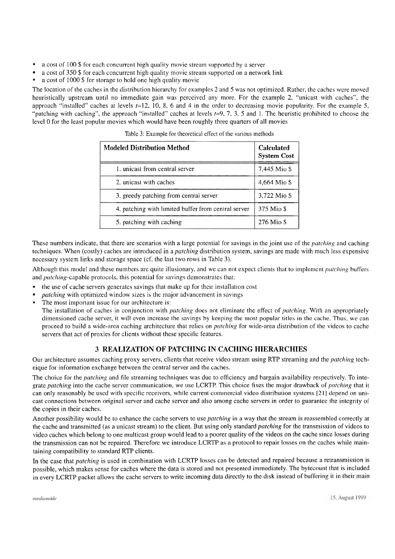- a cost of 100 \$ for each concurrent high quality movie stream supported by a server
- a cost of 350 \$ for each concurrcnt high quality rnovie stream supported on a network link
- a cost of 1000 \$ for storage to hold one high quality movie

The location of the caches in the distribution hierarchy for examples 2 and 5 was not optimized. Rather, the caches were moved heuristically upstream until no immediate gain was perceived any more. For the example 2, "unicast with caches", the approach "installed" caches at levels  $t=12$ , 10, 8, 6 and 4 in the order to decreasing movie popularity. For the example 5, "patching with caching", the approach "installed" caches at levels  $t=9, 7, 3, 5$  and I. The heuristic prohibited to choose the level 0 for the least popular movies which would have been roughly three quarters of all movies

| <b>Modeled Distribution Method</b>                  | <b>Calculated</b><br><b>System Cost</b> |
|-----------------------------------------------------|-----------------------------------------|
| 1. unicast from central server                      | 7,445 Mio \$                            |
| 2. unicast with caches                              | 4,664 Mio \$                            |
| 3. greedy patching from central server              | 3,722 Mio \$                            |
| 4. patching with limited buffer from central server | 375 Mio \$                              |
| 5. patching with caching                            | 276 Mio \$                              |

Table 3: Example for theoretical effect of the various methods

These numbers indicate, that there are scenarios with a large potential for savings in the joint use of the *patching* and caching techniques. When (costly) caches are introduced in a *patching* distribution system, savings are made with much less expensive necessary system links and storage space (cf. the last two rows in Table 3).

Although this model and these numbers are quite illusionary, and we can not expect clients that to implement *patching* buffers and patching-capable protocols, this potential for savings demonstrates that:

- the use of cache servers generates savings that make up for their installation cost
- patching with optimized window sizes is the major advancement in savings
- The most important issue for our architecture is:

The installation of caches in conjunction with *patching* does not eliminate the effect of *patching*. With an appropriately dimensioned cache server, it will even increase the savings by keeping the most popular titles in the cache. Thus, we can proceed to build a wide-area caching architecture that relies on *patching* for wide-area distribution of the videos to cache servers that act of proxies for clients without these spccific featurcs.

# **3 REALIZATION OF PATCHING IN CACHING HIERARCHIES**

Our architecture assumes caching proxy servers, clients that receive video stream using RTP streaming and the *patching* technique for information exchange betwcen thc central server and the caches.

The choice for the *patching* and file streaming techniques was duc to efficiency and bargain availability respectively. To integrate patching into the cache server communication, we use LCRTP. This choice fixes the major drawback of patching that it can only reasonably be used with specific receivers, while current commercial video distribution systems [21] depend on unicast connections between original server and cache server and also among cache servers in order to guarantee the integrity of the copies in their caches.

Another possibility would be to enhance the cache servers to use *patching* in a way that the stream is reassembled correctly at the cache and transmitted (as a unicast stream) to the client. But using only standard *patching* for the transmission of videos to video caches which belong to one multicast group would lead to a poorer quality of the videos on the cache since losses during the transmission can not be repaired. Therefore we introduce LCRTP as a protocol to repair losses on the caches while maintaining compatibility to standard RTP clients.

In the case that patching is used in combination with LCRTP losses can be detected and repaired because a retransmission is possible, which makes sense for caches where the data is stored and not presented immediately. The bytecount that is included in every LCRTP packet allows the cache servers to write incoming data directly to the disk instead of buffering it in their main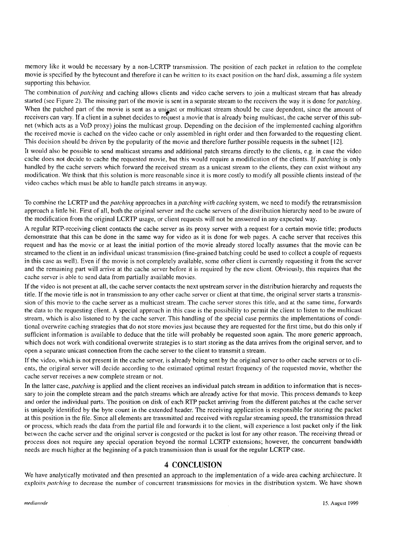memory like it would be necessary by a non-LCRTP transmission. The position of each packet in relation to the complete movie is specified by the bytecount and therefore it can be written to its exact position on the hard disk, assuming a file system supporting this behavior.

The combination of patching and caching allows clients and video cache servers to join a multicast stream that has already started (see Figure 2). The missing part of the movie is sent in a separate stream to the receivers the way it is done for *patching*. When the patched part of the movie is sent as a unicast or multicast stream should be case dependent, since the amount of receivers can vary. If a client in a subnet decides to request a movie that is already being multicast, the cache server of this subnet (which acts as a VoD proxy) joins the multicast group. Depending on the decision of the implemented caching algorithm thc received movie is cachcd on the video cache or only assenibled in right order and then forwarded to the requesting clicnt. This decision should be driven by the popularity of the movie and therefore further possible requests in the subnet [12].

It would also be possible to send multicast streams and additional patch streams directly to the clients, e.g. in case the video cache does not decide to cache the requested movie, but this would require a modification of the clients. If *patching* is only handled by the cache servers which forward the received stream as a unicast stream to the clients, they can exist without any modification. We think that this solution is more reasonable since it is more costly to modify all possible clients instead of the video caches which must be able to handle patch streams in anyway.

To combine the LCRTP and the *patching* approaches in a *patching with caching* system, we need to modify the retransmission approach a little bit. First of all, both the original server and the cache servers of the distribution hierarchy need to be aware of the modification from the original LCRTP usage, or client requests will not be answered in any expected way.

A regular RTP-receiving client contacts the cache server as its proxy server with a request for a certain movie title; products demonstrate that this can be done in thc Same way for video as it is done for web pages. A cache server that receives this request and has the movie or at least the initial portion of the movie already stored locally assumes that the movie can be strcamed to the client in an individual unicast transmission (fine-grained batching could be used to collect a couple of requests in this casc as well). Even if the movie is not completely available, some other client is currently requesting it from the server and the remaining part will arrive at the cache server before it is required by the new client. Obviously, this requires that the cache server is able to send data from partially available movies.

If the video is not present at all, the cache server contacts the next upstream server in thc distribution hierarchy and requests the title. If the movie title is not in transmission to any other cache server or client at that time, the original server Starts a transmission of this movie to the cache server as a multicast stream. The cache server stores this title, and at the same time, forwards the data to the requesting client. **A** special approach in this case is the possibility to permit the client to listen to the multicast stream, which is also listened to by the cache server. This handling of the special case permits the implementations of conditional overwrite caching strategies that do not store movies just because they are requested for the first time, but do this only if sufficient information is available to deduce that the title will probably be requested soon again. The more generic approach, which does not work with conditional overwrite strategies is to start storing as the data arrives from the original server, and to Open a separate unicast connection from the cache server to the client to transmit a stream.

If thc video, which is not present in the cache server, is already being sent by the original server to other cache servers or to clients, the original server will decide according to the estimated optimal restart frequency of the requested movie, whether the cache server receives a new complete stream or not.

In the latter case, *patching* is applied and the client receives an individual patch stream in addition to information that is necessary to join the complete stream and the patch streams which are already active for that movie. This process demands to keep and order the individual Parts. The position on disk of each RTP packet arriving from the different patches at the cache server is uniquely identified by the byte Count in the extended header. The receiving application is responsible for storing the packet at this position in the file. Since all elements are transmitted and received with regular streaming speed, the transmission thread or process, which reads the data froni the partial File and forwards it to the client, will experience a lost packet only if the link between the cache server and the original server is congested or the packet is lost for any other reason. The receiving thread or process does not require any special operation beyond the normal LCRTP extensions; however, the concurrent bandwidth needs are much higher at the beginning of a patch transmission than is usual for the regular LCRTP case.

#### **4 CONCLUSION**

We have analytically motivated and then prescnted an approach to the implementation of a wide-area caching architecture. It exploits *patching* to decrease the number of concurrent transmissions for movies in the distribution system. We have shown